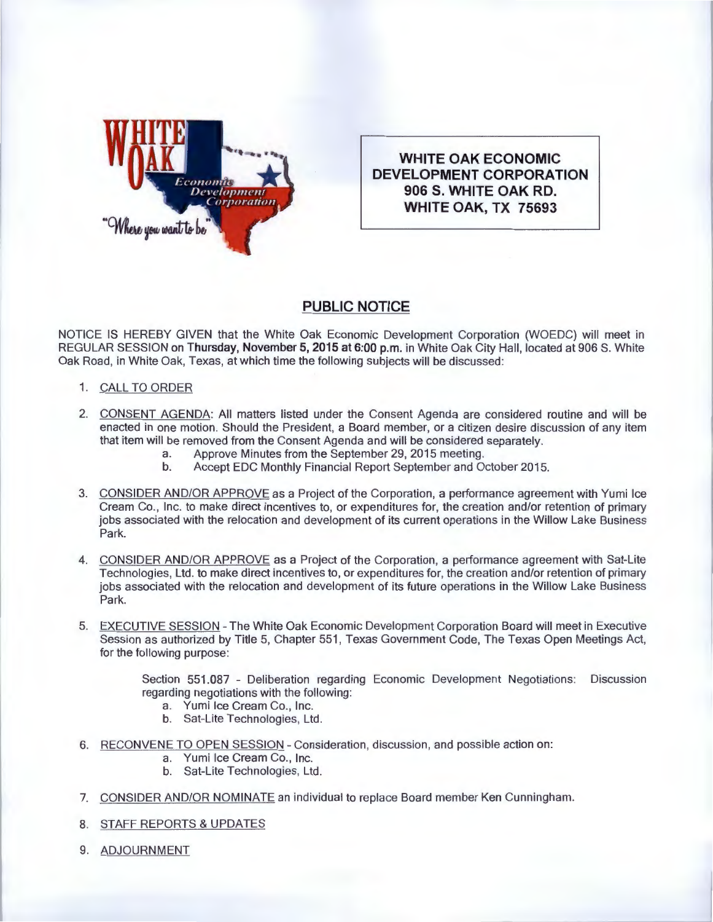

**WHITE OAK ECONOMIC DEVELOPMENT CORPORATION 906 S. WHITE OAK RD. WHITE OAK, TX 75693** 

## **PUBLIC NOTICE**

NOTICE IS HEREBY GIVEN that the White Oak Economic Development Corporation (WOEDC) will meet in REGULAR SESSION on **Thursday, November 5, 2015 at 6:00p.m.** in White Oak City Hall, located at 906 S. White Oak Road, in White Oak, Texas, at which time the following subjects will be discussed:

- 1. CALL TO ORDER
- 2. CONSENT AGENDA: All matters listed under the Consent Agenda are considered routine and will be enacted in one motion. Should the President, a Board member, or a citizen desire discussion of any item that item will be removed from the Consent Agenda and will be considered separately.
	- a. Approve Minutes from the September 29, 2015 meeting.
	- b. Accept EDC Monthly Financial Report September and October 2015.
- 3. CONSIDER AND/OR APPROVE as a Project of the Corporation, a performance agreement with Yumi Ice Cream Co., Inc. to make direct incentives to, or expenditures for, the creation and/or retention of primary jobs associated with the relocation and development of its current operations in the Willow Lake Business Park.
- 4. CONSIDER AND/OR APPROVE as a Project of the Corporation, a performance agreement with Sat-Lite Technologies, Ltd. to make direct incentives to, or expenditures for, the creation and/or retention of primary jobs associated with the relocation and development of its future operations in the Willow Lake Business Park.
- 5. EXECUTIVE SESSION The White Oak Economic Development Corporation Board will meet in Executive Session as authorized by Title 5, Chapter 551 , Texas Government Code, The Texas Open Meetings Act, for the following purpose:

Section 551.087 - Deliberation regarding Economic Development Negotiations: Discussion regarding negotiations with the following:

- a. Yumi Ice Cream Co., Inc.
- b. Sat-Lite Technologies, Ltd.
- 6. RECONVENE TO OPEN SESSION Consideration, discussion, and possible action on:
	- a. Yumi Ice Cream Co., Inc.
	- b. Sat-Lite Technologies, Ltd.
- 7. CONSIDER AND/OR NOMINATE an individual to replace Board member Ken Cunningham.
- 8. STAFF REPORTS & UPDATES
- 9. ADJOURNMENT